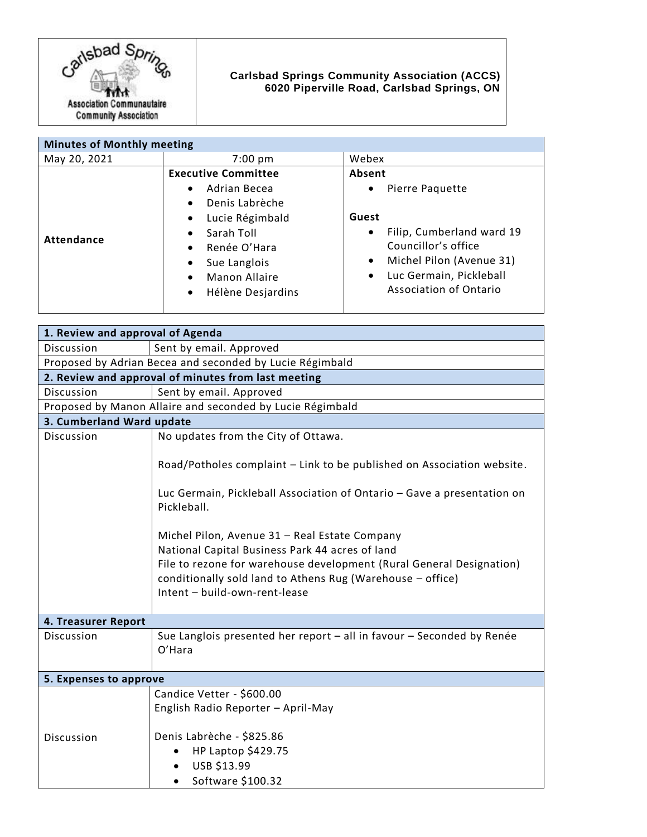

## **Carlsbad Springs Community Association (ACCS) 6020 Piperville Road, Carlsbad Springs, ON**

| <b>Minutes of Monthly meeting</b> |                                                                                                                                                                                                                                                                             |                                                                                                                                                                                                                             |
|-----------------------------------|-----------------------------------------------------------------------------------------------------------------------------------------------------------------------------------------------------------------------------------------------------------------------------|-----------------------------------------------------------------------------------------------------------------------------------------------------------------------------------------------------------------------------|
| May 20, 2021                      | $7:00$ pm                                                                                                                                                                                                                                                                   | Webex                                                                                                                                                                                                                       |
| <b>Attendance</b>                 | <b>Executive Committee</b><br>Adrian Becea<br>$\bullet$<br>Denis Labrèche<br>$\bullet$<br>Lucie Régimbald<br>$\bullet$<br>Sarah Toll<br>$\bullet$<br>Renée O'Hara<br>$\bullet$<br>Sue Langlois<br>$\bullet$<br>Manon Allaire<br>$\bullet$<br>Hélène Desjardins<br>$\bullet$ | Absent<br>Pierre Paquette<br>$\bullet$<br>Guest<br>Filip, Cumberland ward 19<br>$\bullet$<br>Councillor's office<br>Michel Pilon (Avenue 31)<br>$\bullet$<br>Luc Germain, Pickleball<br>$\bullet$<br>Association of Ontario |

| 1. Review and approval of Agenda                          |                                                                                                                                                                                                                                                                         |  |
|-----------------------------------------------------------|-------------------------------------------------------------------------------------------------------------------------------------------------------------------------------------------------------------------------------------------------------------------------|--|
| Discussion                                                | Sent by email. Approved                                                                                                                                                                                                                                                 |  |
| Proposed by Adrian Becea and seconded by Lucie Régimbald  |                                                                                                                                                                                                                                                                         |  |
| 2. Review and approval of minutes from last meeting       |                                                                                                                                                                                                                                                                         |  |
| Discussion                                                | Sent by email. Approved                                                                                                                                                                                                                                                 |  |
| Proposed by Manon Allaire and seconded by Lucie Régimbald |                                                                                                                                                                                                                                                                         |  |
| 3. Cumberland Ward update                                 |                                                                                                                                                                                                                                                                         |  |
| Discussion                                                | No updates from the City of Ottawa.<br>Road/Potholes complaint - Link to be published on Association website.                                                                                                                                                           |  |
|                                                           | Luc Germain, Pickleball Association of Ontario - Gave a presentation on<br>Pickleball.                                                                                                                                                                                  |  |
|                                                           | Michel Pilon, Avenue 31 - Real Estate Company<br>National Capital Business Park 44 acres of land<br>File to rezone for warehouse development (Rural General Designation)<br>conditionally sold land to Athens Rug (Warehouse - office)<br>Intent - build-own-rent-lease |  |
| 4. Treasurer Report                                       |                                                                                                                                                                                                                                                                         |  |
| Discussion                                                | Sue Langlois presented her report - all in favour - Seconded by Renée<br>O'Hara                                                                                                                                                                                         |  |
| 5. Expenses to approve                                    |                                                                                                                                                                                                                                                                         |  |
| Discussion                                                | Candice Vetter - \$600.00<br>English Radio Reporter - April-May<br>Denis Labrèche - \$825.86                                                                                                                                                                            |  |
|                                                           | HP Laptop \$429.75<br>USB \$13.99<br>Software \$100.32                                                                                                                                                                                                                  |  |